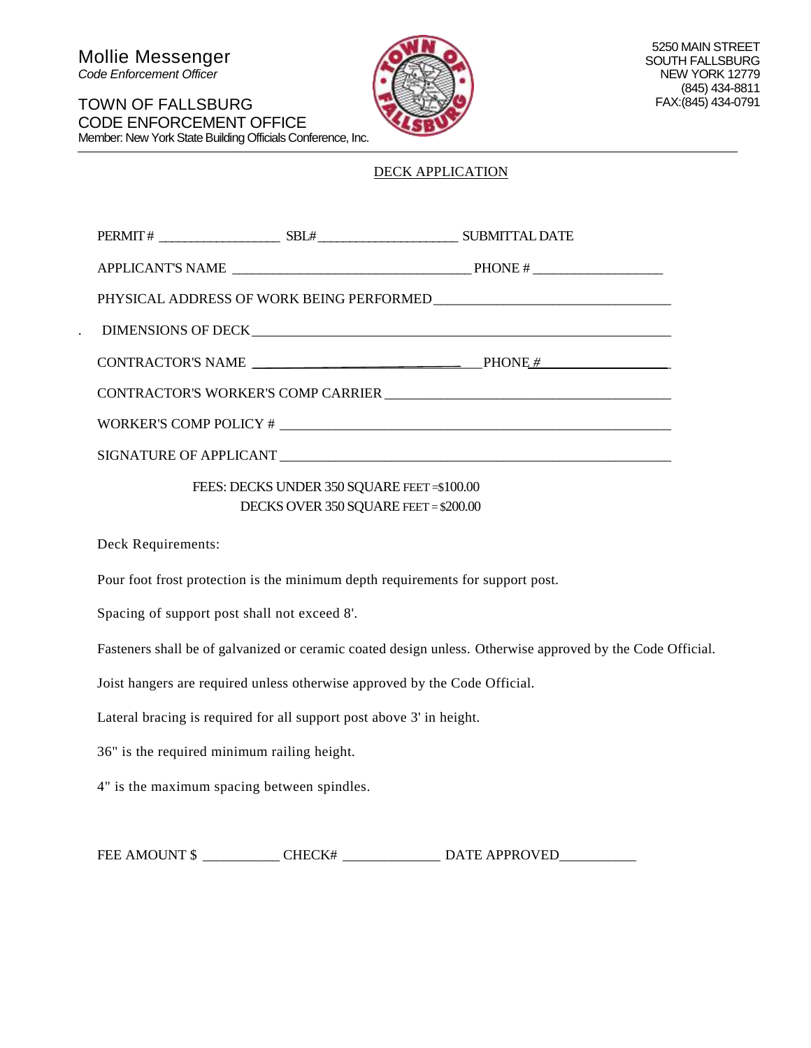Mollie Messenger *Code Enforcement Officer*



## DECK APPLICATION

|  |                                            | CONTRACTOR'S NAME $\qquad \qquad$ PHONE #                                                                                                                                                                                        |
|--|--------------------------------------------|----------------------------------------------------------------------------------------------------------------------------------------------------------------------------------------------------------------------------------|
|  |                                            |                                                                                                                                                                                                                                  |
|  |                                            | WORKER'S COMP POLICY # $\sqrt{2}$ . The set of the set of the set of the set of the set of the set of the set of the set of the set of the set of the set of the set of the set of the set of the set of the set of the set of t |
|  |                                            |                                                                                                                                                                                                                                  |
|  | FEES: DECKS UNDER 350 SQUARE FEET=\$100.00 |                                                                                                                                                                                                                                  |
|  | DECKS OVER 350 SQUARE FEET = \$200.00      |                                                                                                                                                                                                                                  |

Deck Requirements:

Pour foot frost protection is the minimum depth requirements for support post.

Spacing of support post shall not exceed 8'.

Fasteners shall be of galvanized or ceramic coated design unless. Otherwise approved by the Code Official.

Joist hangers are required unless otherwise approved by the Code Official.

Lateral bracing is required for all support post above 3' in height.

36" is the required minimum railing height.

4" is the maximum spacing between spindles.

| <b>FEE AMOUNT \$</b> | CHECK# | <b>DATE APPROVED</b> |
|----------------------|--------|----------------------|
|----------------------|--------|----------------------|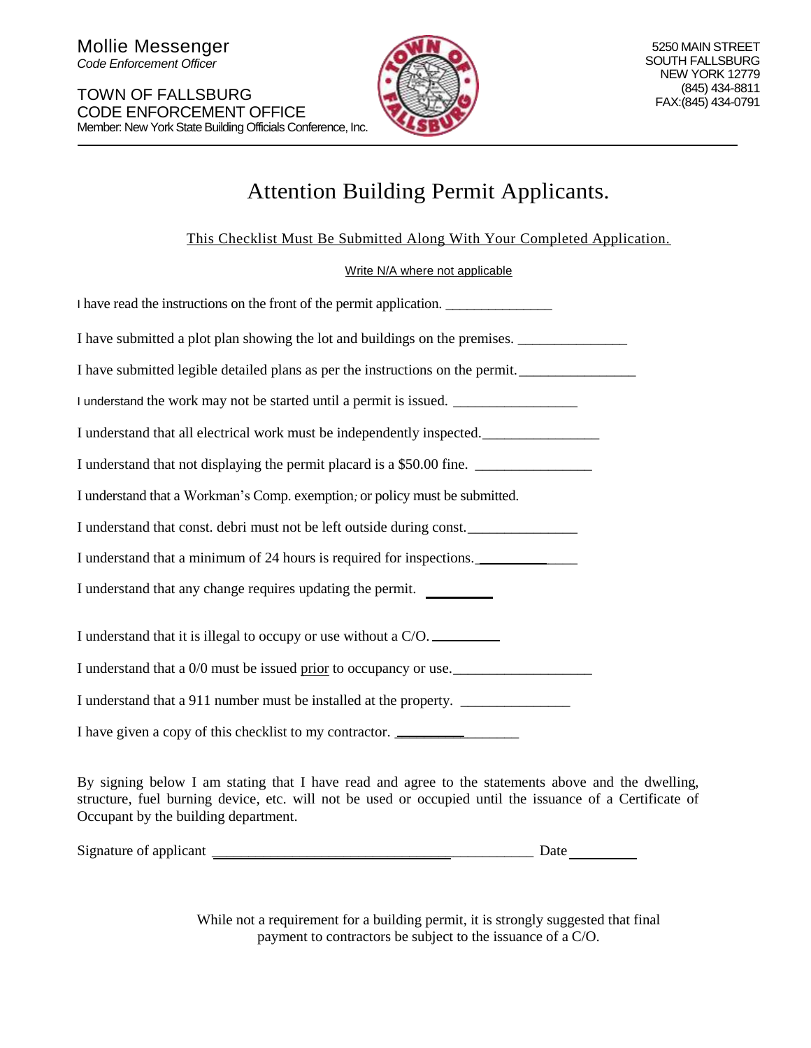

# Attention Building Permit Applicants.

This Checklist Must Be Submitted Along With Your Completed Application.

Write N/A where not applicable

| I have read the instructions on the front of the permit application.             |  |  |
|----------------------------------------------------------------------------------|--|--|
| I have submitted a plot plan showing the lot and buildings on the premises.      |  |  |
| I have submitted legible detailed plans as per the instructions on the permit.   |  |  |
| I understand the work may not be started until a permit is issued.               |  |  |
| I understand that all electrical work must be independently inspected.           |  |  |
| I understand that not displaying the permit placard is a \$50.00 fine.           |  |  |
| I understand that a Workman's Comp. exemption, or policy must be submitted.      |  |  |
| I understand that const. debri must not be left outside during const.            |  |  |
| I understand that a minimum of 24 hours is required for inspections.             |  |  |
| I understand that any change requires updating the permit.                       |  |  |
| I understand that it is illegal to occupy or use without a C/O.                  |  |  |
| I understand that a 0/0 must be issued prior to occupancy or use.                |  |  |
| I understand that a 911 number must be installed at the property. ______________ |  |  |
|                                                                                  |  |  |

By signing below I am stating that I have read and agree to the statements above and the dwelling, structure, fuel burning device, etc. will not be used or occupied until the issuance of a Certificate of Occupant by the building department.

Signature of applicant \_\_\_\_\_\_\_\_\_\_\_\_\_\_\_\_\_\_\_\_\_\_\_\_\_\_\_\_\_\_\_\_\_\_\_\_\_\_\_\_\_\_\_\_ Date

While not a requirement for a building permit, it is strongly suggested that final payment to contractors be subject to the issuance of a C/O.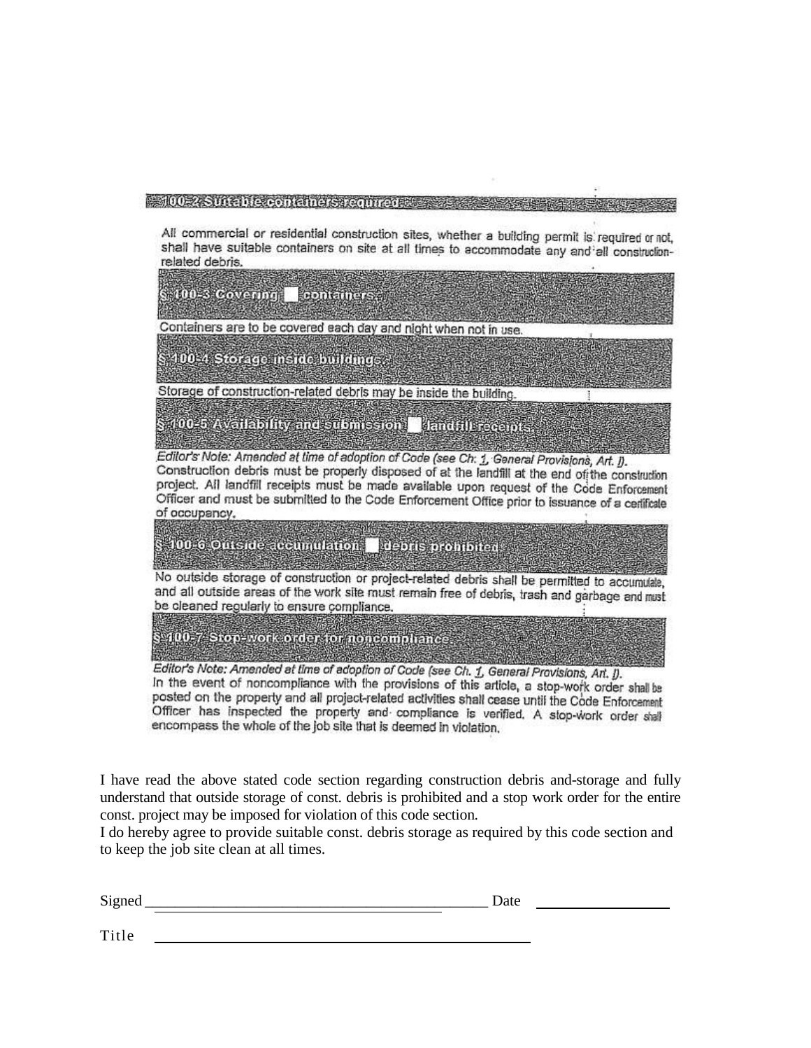#### - 100-2 Suite Die eorteiners required Europe

All commercial or residential construction sites, whether a building permit is required or not, shall have suitable containers on site at all times to accommodate any and all constructionrelated debris.



posted on the property and all project-related activities shall cease until the Code Enforcement Officer has inspected the property and compliance is verified. A stop-work order shall encompass the whole of the job site that is deemed in violation.

I have read the above stated code section regarding construction debris and-storage and fully understand that outside storage of const. debris is prohibited and a stop work order for the entire const. project may be imposed for violation of this code section.

I do hereby agree to provide suitable const. debris storage as required by this code section and to keep the job site clean at all times.

| Signed              | Date |  |  |
|---------------------|------|--|--|
|                     |      |  |  |
| $\mathbf{m}$ .<br>. |      |  |  |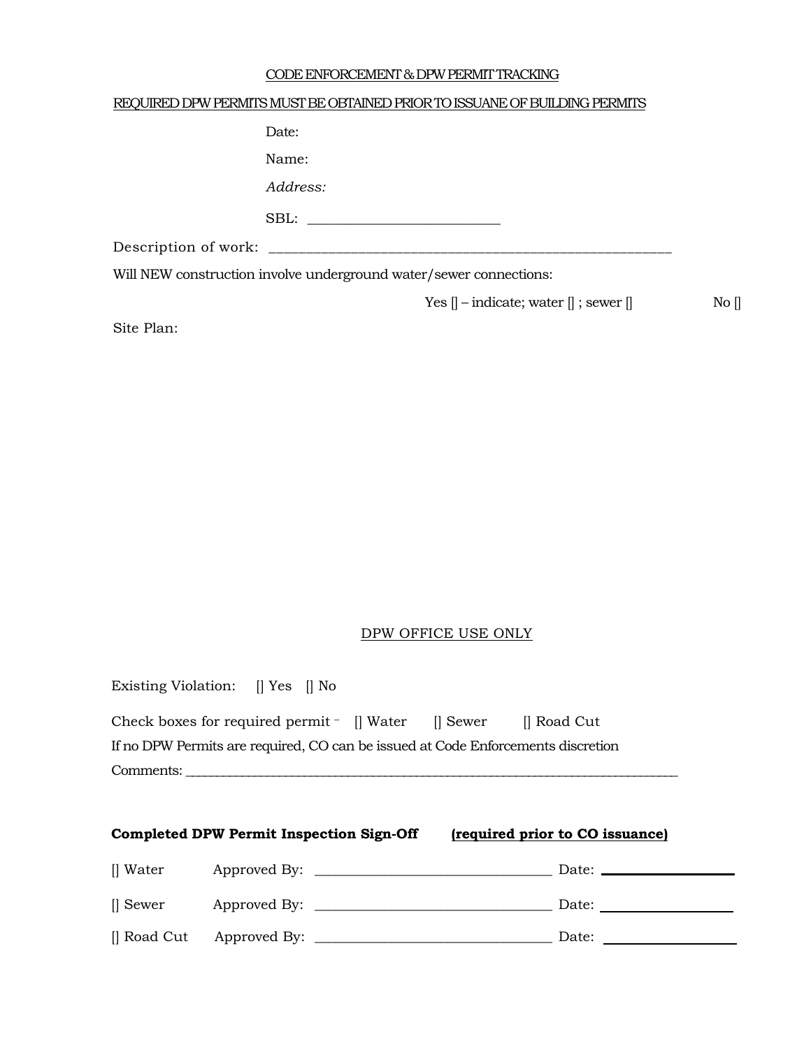### CODE ENFORCEMENT & DPW PERMIT TRACKING

## REQUIRED DPW PERMITS MUST BE OBTAINED PRIOR TO ISSUANE OF BUILDING PERMITS

| Date:                                                              |                                                                   |       |
|--------------------------------------------------------------------|-------------------------------------------------------------------|-------|
| Name:                                                              |                                                                   |       |
| Address:                                                           |                                                                   |       |
| SBL:                                                               |                                                                   |       |
|                                                                    |                                                                   |       |
| Will NEW construction involve underground water/sewer connections: |                                                                   |       |
|                                                                    | Yes $\parallel$ – indicate; water $\parallel$ ; sewer $\parallel$ | No [] |

Site Plan:

## DPW OFFICE USE ONLY

Existing Violation: [] Yes [] No

| Check boxes for required permit - [] Water                                       |  | Il Sewer | ll Road Cut |
|----------------------------------------------------------------------------------|--|----------|-------------|
| If no DPW Permits are required, CO can be issued at Code Enforcements discretion |  |          |             |
| Comments:                                                                        |  |          |             |

|             | <b>Completed DPW Permit Inspection Sign-Off</b> | (required prior to CO issuance)                                                                                                                                                                                                |
|-------------|-------------------------------------------------|--------------------------------------------------------------------------------------------------------------------------------------------------------------------------------------------------------------------------------|
| Water       |                                                 |                                                                                                                                                                                                                                |
| [] Sewer    |                                                 | Date: when the contract of the contract of the contract of the contract of the contract of the contract of the contract of the contract of the contract of the contract of the contract of the contract of the contract of the |
| [] Road Cut |                                                 | Date: $\frac{ }{ }$                                                                                                                                                                                                            |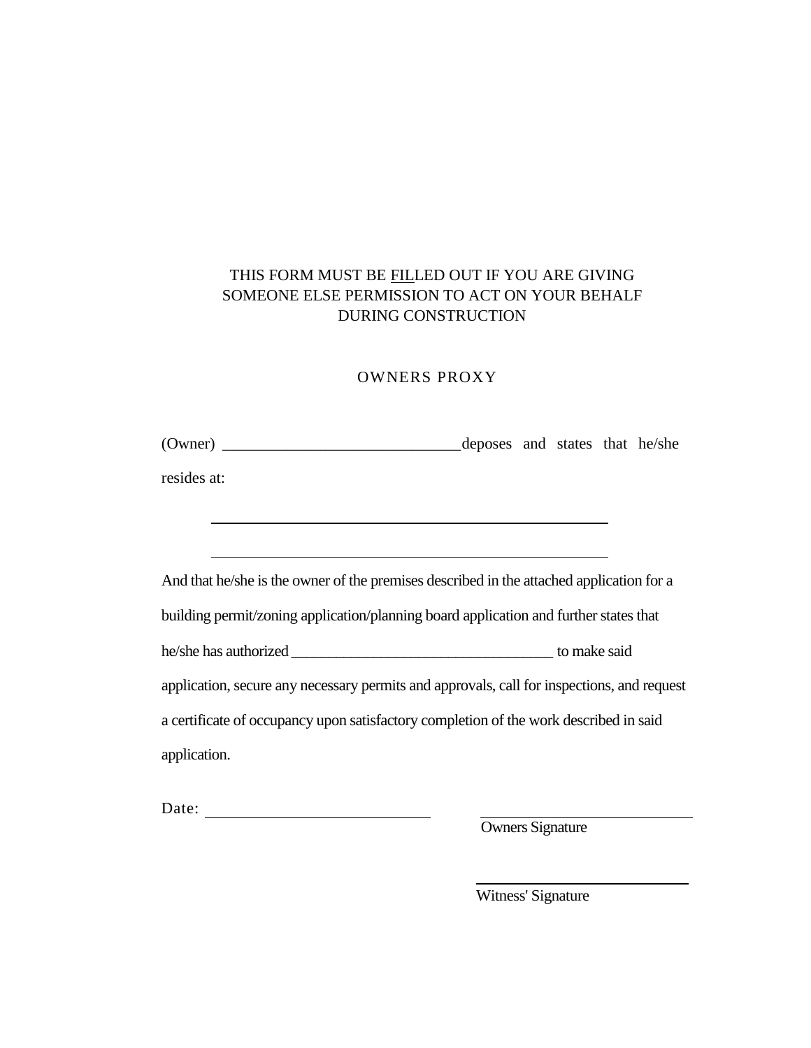## THIS FORM MUST BE FILLED OUT IF YOU ARE GIVING SOMEONE ELSE PERMISSION TO ACT ON YOUR BEHALF DURING CONSTRUCTION

## OWNERS PROXY

(Owner) \_\_\_\_\_\_\_\_\_\_\_\_\_\_\_\_\_\_\_\_\_\_\_\_\_\_\_\_\_\_deposes and states that he/she

<u> 1989 - Johann Barbara, martxa alemaniar a</u>

resides at:

And that he/she is the owner of the premises described in the attached application for a building permit/zoning application/planning board application and further states that he/she has authorized \_\_\_\_\_\_\_\_\_\_\_\_\_\_\_\_\_\_\_\_\_\_\_\_\_\_\_\_\_\_\_\_\_\_\_ to make said application, secure any necessary permits and approvals, call for inspections, and request a certificate of occupancy upon satisfactory completion of the work described in said application.

Date:

Owners Signature

Witness' Signature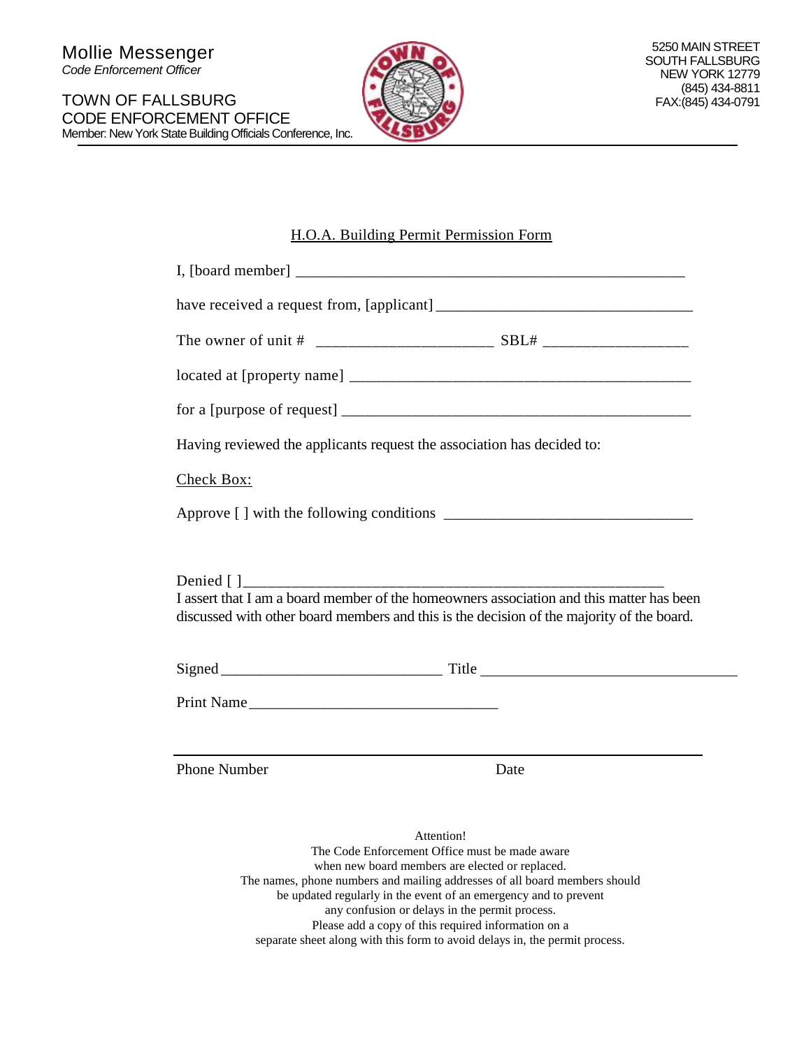

## H.O.A. Building Permit Permission Form

| Having reviewed the applicants request the association has decided to:                    |      |  |  |
|-------------------------------------------------------------------------------------------|------|--|--|
| Check Box:                                                                                |      |  |  |
|                                                                                           |      |  |  |
|                                                                                           |      |  |  |
|                                                                                           |      |  |  |
| I assert that I am a board member of the homeowners association and this matter has been  |      |  |  |
| discussed with other board members and this is the decision of the majority of the board. |      |  |  |
|                                                                                           |      |  |  |
| Print Name                                                                                |      |  |  |
|                                                                                           |      |  |  |
| <b>Phone Number</b>                                                                       | Date |  |  |

Attention! The Code Enforcement Office must be made aware when new board members are elected or replaced. The names, phone numbers and mailing addresses of all board members should be updated regularly in the event of an emergency and to prevent any confusion or delays in the permit process. Please add a copy of this required information on a separate sheet along with this form to avoid delays in, the permit process.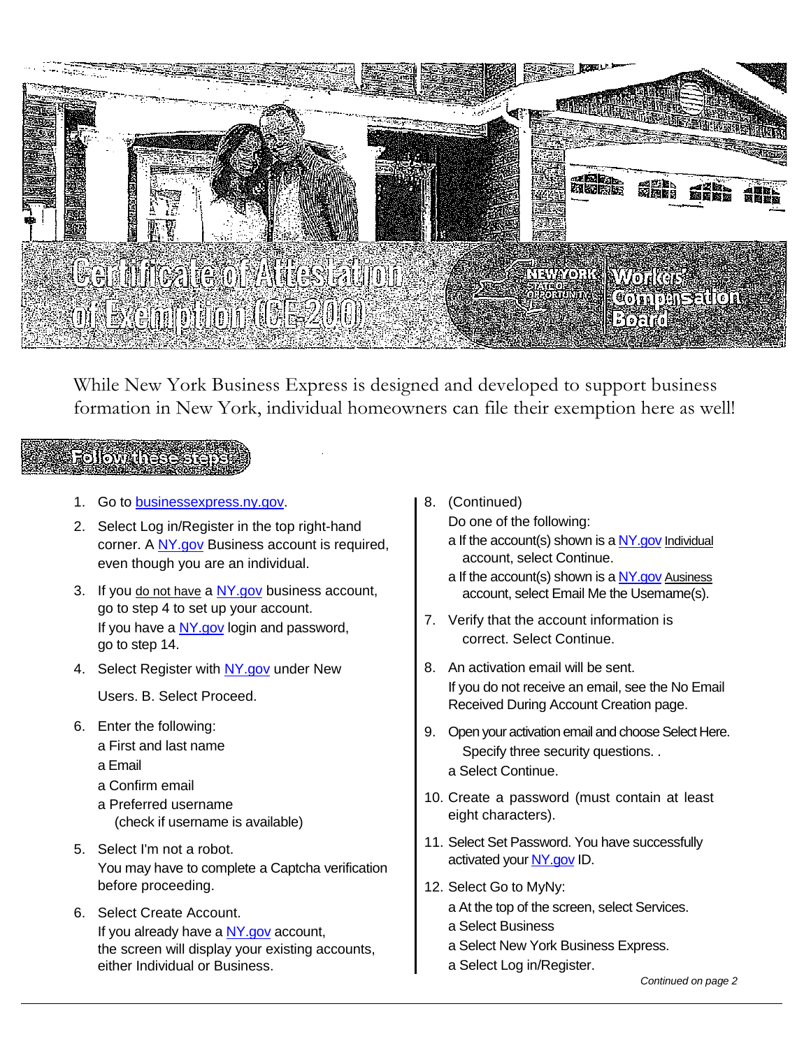

While New York Business Express is designed and developed to support business formation in New York, individual homeowners can file their exemption here as well!

## **Follow these step**

- 1. Go to [businessexpress.ny.gov.](http://businessexpress.ny.gov/)
- 2. Select Log in/Register in the top right-hand corner. A [NY.gov](http://ny.gov/) Business account is required, even though you are an individual.
- 3. If you do not have a  $NY.gov$  business account, go to step 4 to set up your account. If you have a [NY.gov](http://ny.gov/) login and password, go to step 14.
- 4. Select Register with [NY.gov](http://ny.gov/) under New

Users. B. Select Proceed.

- 6. Enter the following:
	- a First and last name
	- a Email
	- a Confirm email
	- a Preferred username (check if username is available)
- 5. Select I'm not a robot. You may have to complete a Captcha verification before proceeding.
- 6. Select Create Account. If you already have a [NY.gov](http://ny.gov/) account, the screen will display your existing accounts, either Individual or Business.
- 8. (Continued)
	- Do one of the following:
	- a If the account(s) shown is a  $NY.gov$  Individual account, select Continue.
	- a If the account(s) shown is a NY gov Ausiness account, select Email Me the Usemame(s).
- 7. Verify that the account information is correct. Select Continue.
- 8. An activation email will be sent. If you do not receive an email, see the No Email Received During Account Creation page.
- 9. Open your activation email and choose Select Here. Specify three security questions. .
	- a Select Continue.
- 10. Create a password (must contain at least eight characters).
- 11. Select Set Password. You have successfully activated you[r NY.gov](http://ny.gov/) ID.
- 12. Select Go to MyNy: a At the top of the screen, select Services.
	- a Select Business
	- a Select New York Business Express.
	- a Select Log in/Register.